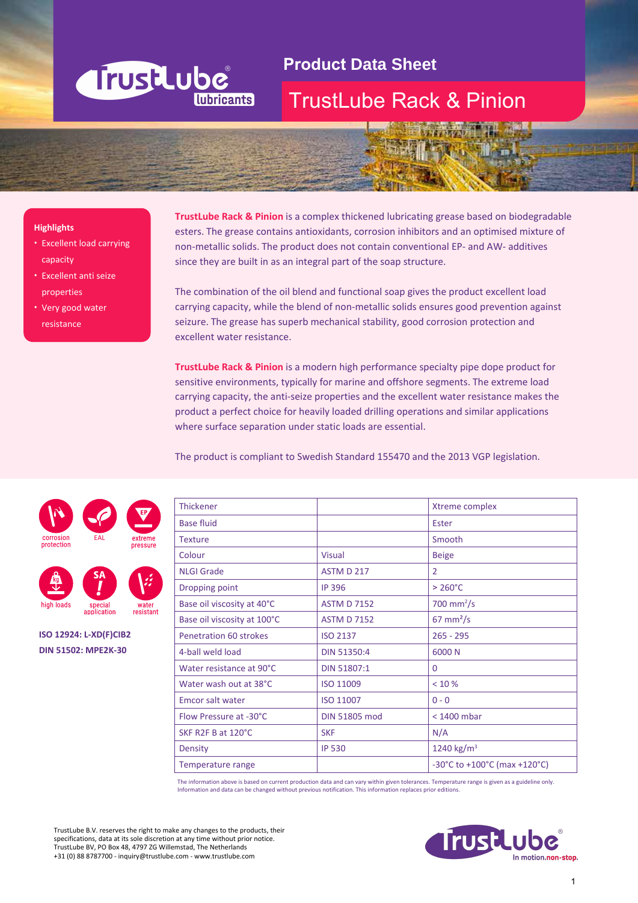

# **Product Data Sheet**

### TrustLube Rack & Pinion

#### **Highlights**

- Excellent load carrying capacity
- Excellent anti seize properties
- Very good water resistance

**TrustLube Rack & Pinion** is a complex thickened lubricating grease based on biodegradable esters. The grease contains antioxidants, corrosion inhibitors and an optimised mixture of non-metallic solids. The product does not contain conventional EP- and AW- additives since they are built in as an integral part of the soap structure.

The combination of the oil blend and functional soap gives the product excellent load carrying capacity, while the blend of non-metallic solids ensures good prevention against seizure. The grease has superb mechanical stability, good corrosion protection and excellent water resistance.

**TrustLube Rack & Pinion** is a modern high performance specialty pipe dope product for sensitive environments, typically for marine and offshore segments. The extreme load carrying capacity, the anti-seize properties and the excellent water resistance makes the product a perfect choice for heavily loaded drilling operations and similar applications where surface separation under static loads are essential.

The product is compliant to Swedish Standard 155470 and the 2013 VGP legislation.

| <b>Thickener</b>              |                      | Xtreme complex                                             |
|-------------------------------|----------------------|------------------------------------------------------------|
| <b>Base fluid</b>             |                      | Ester                                                      |
| <b>Texture</b>                |                      | Smooth                                                     |
| Colour                        | <b>Visual</b>        | <b>Beige</b>                                               |
| <b>NLGI Grade</b>             | ASTM D 217           | $\overline{2}$                                             |
| Dropping point                | <b>IP 396</b>        | $>260^{\circ}$ C                                           |
| Base oil viscosity at 40°C    | <b>ASTM D 7152</b>   | $700$ mm <sup>2</sup> /s                                   |
| Base oil viscosity at 100°C   | <b>ASTM D 7152</b>   | $67 \text{ mm}^2$ /s                                       |
| <b>Penetration 60 strokes</b> | <b>ISO 2137</b>      | $265 - 295$                                                |
| 4-ball weld load              | DIN 51350:4          | 6000N                                                      |
| Water resistance at 90°C      | DIN 51807:1          | $\Omega$                                                   |
| Water wash out at 38°C        | ISO 11009            | < 10 %                                                     |
| <b>Emcor salt water</b>       | ISO 11007            | $0 - 0$                                                    |
| Flow Pressure at -30°C        | <b>DIN 51805 mod</b> | $<$ 1400 mbar                                              |
| SKF R2F B at 120°C            | <b>SKF</b>           | N/A                                                        |
| <b>Density</b>                | <b>IP 530</b>        | 1240 kg/m <sup>3</sup>                                     |
| Temperature range             |                      | $-30^{\circ}$ C to $+100^{\circ}$ C (max $+120^{\circ}$ C) |

The information above is based on current production data and can vary within given tolerances. Temperature range is given as a guideline only. Information and data can be changed without previous notification. This information replaces prior editions.

TrustLube B.V. reserves the right to make any changes to the products, their specifications, data at its sole discretion at any time without prior notice. TrustLube BV, PO Box 48, 4797 ZG Willemstad, The Netherlands +31 (0) 88 8787700 - inquiry@trustlube.com - www.trustlube.com







**ISO 12924: L-XD(F)CIB2 DIN 51502: MPE2K-30**